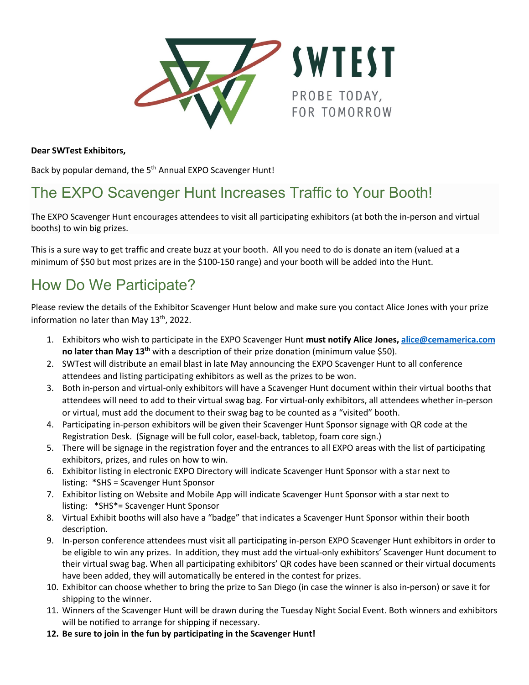

**Dear SWTest Exhibitors,**

Back by popular demand, the 5<sup>th</sup> Annual EXPO Scavenger Hunt!

## The EXPO Scavenger Hunt Increases Traffic to Your Booth!

The EXPO Scavenger Hunt encourages attendees to visit all participating exhibitors (at both the in-person and virtual booths) to win big prizes.

This is a sure way to get traffic and create buzz at your booth. All you need to do is donate an item (valued at a minimum of \$50 but most prizes are in the \$100-150 range) and your booth will be added into the Hunt.

## How Do We Participate?

Please review the details of the Exhibitor Scavenger Hunt below and make sure you contact Alice Jones with your prize information no later than May 13<sup>th</sup>, 2022.

- 1. Exhibitors who wish to participate in the EXPO Scavenger Hunt **must notify Alice Jones, alice@cemamerica.com no later than May 13th** with a description of their prize donation (minimum value \$50).
- 2. SWTest will distribute an email blast in late May announcing the EXPO Scavenger Hunt to all conference attendees and listing participating exhibitors as well as the prizes to be won.
- 3. Both in-person and virtual-only exhibitors will have a Scavenger Hunt document within their virtual booths that attendees will need to add to their virtual swag bag. For virtual-only exhibitors, all attendees whether in-person or virtual, must add the document to their swag bag to be counted as a "visited" booth.
- 4. Participating in-person exhibitors will be given their Scavenger Hunt Sponsor signage with QR code at the Registration Desk. (Signage will be full color, easel-back, tabletop, foam core sign.)
- 5. There will be signage in the registration foyer and the entrances to all EXPO areas with the list of participating exhibitors, prizes, and rules on how to win.
- 6. Exhibitor listing in electronic EXPO Directory will indicate Scavenger Hunt Sponsor with a star next to listing: \*SHS = Scavenger Hunt Sponsor
- 7. Exhibitor listing on Website and Mobile App will indicate Scavenger Hunt Sponsor with a star next to listing: \*SHS\*= Scavenger Hunt Sponsor
- 8. Virtual Exhibit booths will also have a "badge" that indicates a Scavenger Hunt Sponsor within their booth description.
- 9. In-person conference attendees must visit all participating in-person EXPO Scavenger Hunt exhibitors in order to be eligible to win any prizes. In addition, they must add the virtual-only exhibitors' Scavenger Hunt document to their virtual swag bag. When all participating exhibitors' QR codes have been scanned or their virtual documents have been added, they will automatically be entered in the contest for prizes.
- 10. Exhibitor can choose whether to bring the prize to San Diego (in case the winner is also in-person) or save it for shipping to the winner.
- 11. Winners of the Scavenger Hunt will be drawn during the Tuesday Night Social Event. Both winners and exhibitors will be notified to arrange for shipping if necessary.
- **12. Be sure to join in the fun by participating in the Scavenger Hunt!**